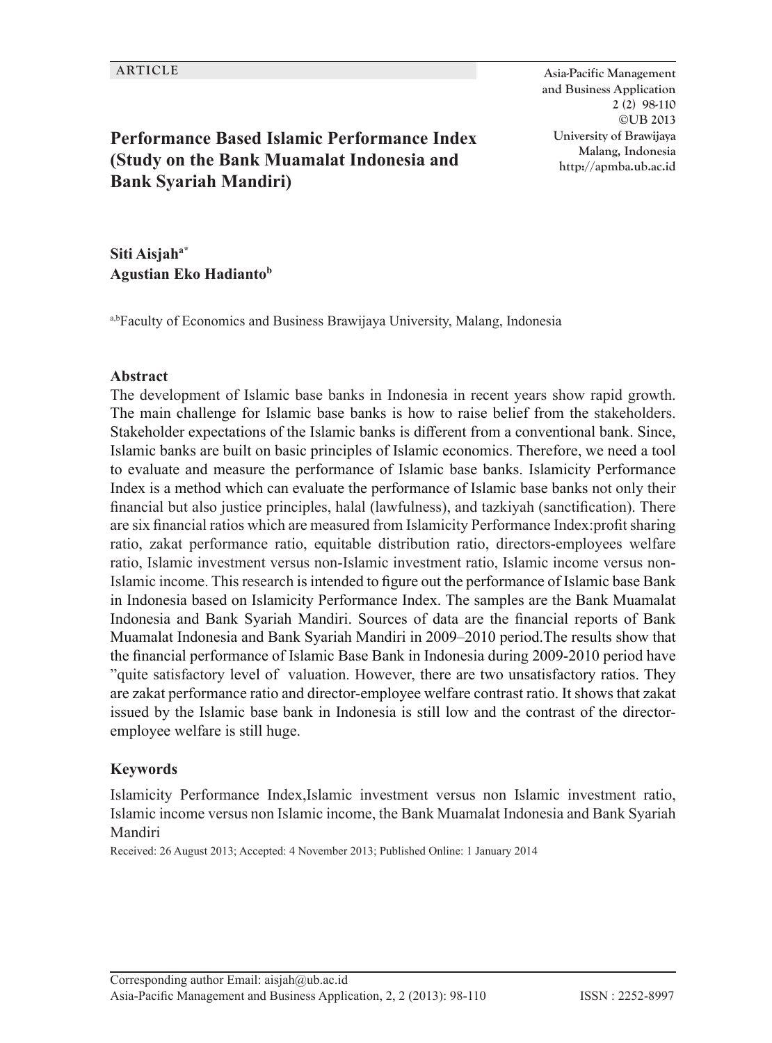**Performance Based Islamic Performance Index (Study on the Bank Muamalat Indonesia and Bank Syariah Mandiri)**

**ARTICLE Asia-Pacific Management and Business Application 2 (2) 98-110 ©UB 2013 University of Brawijaya Malang, Indonesia http://apmba.ub.ac.id**

**Siti Aisjaha\* Agustian Eko Hadiantob**

a,bFaculty of Economics and Business Brawijaya University, Malang, Indonesia

#### **Abstract**

The development of Islamic base banks in Indonesia in recent years show rapid growth. The main challenge for Islamic base banks is how to raise belief from the stakeholders. Stakeholder expectations of the Islamic banks is different from a conventional bank. Since, Islamic banks are built on basic principles of Islamic economics. Therefore, we need a tool to evaluate and measure the performance of Islamic base banks. Islamicity Performance Index is a method which can evaluate the performance of Islamic base banks not only their financial but also justice principles, halal (lawfulness), and tazkiyah (sanctification). There are six financial ratios which are measured from Islamicity Performance Index:profit sharing ratio, zakat performance ratio, equitable distribution ratio, directors-employees welfare ratio, Islamic investment versus non-Islamic investment ratio, Islamic income versus non-Islamic income. This research is intended to figure out the performance of Islamic base Bank in Indonesia based on Islamicity Performance Index. The samples are the Bank Muamalat Indonesia and Bank Syariah Mandiri. Sources of data are the financial reports of Bank Muamalat Indonesia and Bank Syariah Mandiri in 2009–2010 period.The results show that the financial performance of Islamic Base Bank in Indonesia during 2009-2010 period have "quite satisfactory level of valuation. However, there are two unsatisfactory ratios. They are zakat performance ratio and director-employee welfare contrast ratio. It shows that zakat issued by the Islamic base bank in Indonesia is still low and the contrast of the directoremployee welfare is still huge.

#### **Keywords**

Islamicity Performance Index,Islamic investment versus non Islamic investment ratio, Islamic income versus non Islamic income, the Bank Muamalat Indonesia and Bank Syariah Mandiri

Received: 26 August 2013; Accepted: 4 November 2013; Published Online: 1 January 2014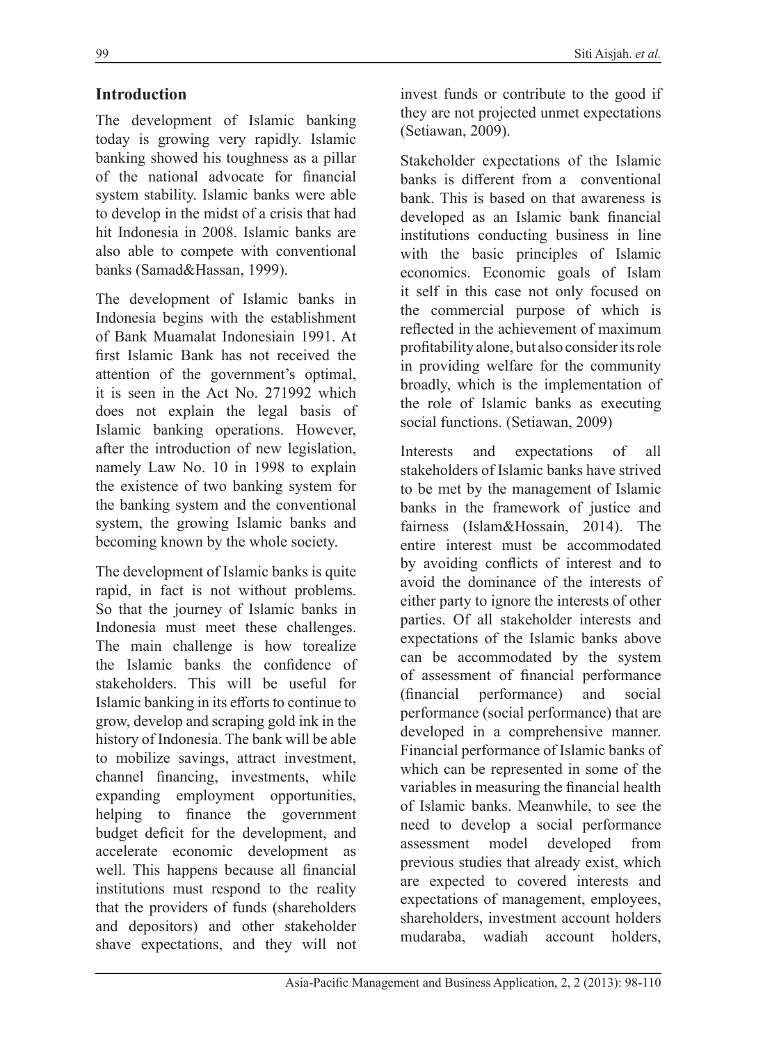### **Introduction**

The development of Islamic banking today is growing very rapidly. Islamic banking showed his toughness as a pillar of the national advocate for financial system stability. Islamic banks were able to develop in the midst of a crisis that had hit Indonesia in 2008. Islamic banks are also able to compete with conventional banks (Samad&Hassan, 1999).

The development of Islamic banks in Indonesia begins with the establishment of Bank Muamalat Indonesiain 1991. At first Islamic Bank has not received the attention of the government's optimal, it is seen in the Act No. 271992 which does not explain the legal basis of Islamic banking operations. However, after the introduction of new legislation, namely Law No. 10 in 1998 to explain the existence of two banking system for the banking system and the conventional system, the growing Islamic banks and becoming known by the whole society.

The development of Islamic banks is quite rapid, in fact is not without problems. So that the journey of Islamic banks in Indonesia must meet these challenges. The main challenge is how torealize the Islamic banks the confidence of stakeholders. This will be useful for Islamic banking in its efforts to continue to grow, develop and scraping gold ink in the history of Indonesia. The bank will be able to mobilize savings, attract investment, channel financing, investments, while expanding employment opportunities, helping to finance the government budget deficit for the development, and accelerate economic development as well. This happens because all financial institutions must respond to the reality that the providers of funds (shareholders and depositors) and other stakeholder shave expectations, and they will not

invest funds or contribute to the good if they are not projected unmet expectations (Setiawan, 2009).

Stakeholder expectations of the Islamic banks is different from a conventional bank. This is based on that awareness is developed as an Islamic bank financial institutions conducting business in line with the basic principles of Islamic economics. Economic goals of Islam it self in this case not only focused on the commercial purpose of which is reflected in the achievement of maximum profitability alone, but also consider its role in providing welfare for the community broadly, which is the implementation of the role of Islamic banks as executing social functions. (Setiawan, 2009)

Interests and expectations of all stakeholders of Islamic banks have strived to be met by the management of Islamic banks in the framework of justice and fairness (Islam&Hossain, 2014). The entire interest must be accommodated by avoiding conflicts of interest and to avoid the dominance of the interests of either party to ignore the interests of other parties. Of all stakeholder interests and expectations of the Islamic banks above can be accommodated by the system of assessment of financial performance (financial performance) and social performance (social performance) that are developed in a comprehensive manner. Financial performance of Islamic banks of which can be represented in some of the variables in measuring the financial health of Islamic banks. Meanwhile, to see the need to develop a social performance assessment model developed from previous studies that already exist, which are expected to covered interests and expectations of management, employees, shareholders, investment account holders mudaraba, wadiah account holders,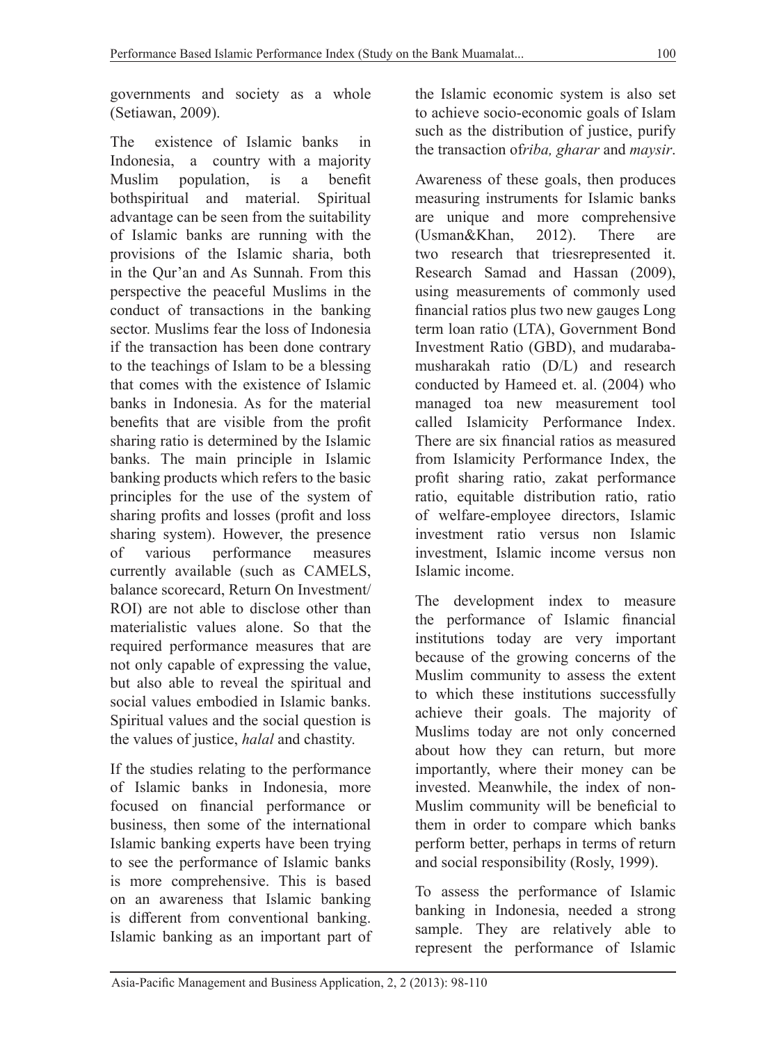governments and society as a whole (Setiawan, 2009).

The existence of Islamic banks in Indonesia, a country with a majority Muslim population, is a benefit bothspiritual and material. Spiritual advantage can be seen from the suitability of Islamic banks are running with the provisions of the Islamic sharia, both in the Qur'an and As Sunnah. From this perspective the peaceful Muslims in the conduct of transactions in the banking sector. Muslims fear the loss of Indonesia if the transaction has been done contrary to the teachings of Islam to be a blessing that comes with the existence of Islamic banks in Indonesia. As for the material benefits that are visible from the profit sharing ratio is determined by the Islamic banks. The main principle in Islamic banking products which refers to the basic principles for the use of the system of sharing profits and losses (profit and loss sharing system). However, the presence of various performance measures currently available (such as CAMELS, balance scorecard, Return On Investment/ ROI) are not able to disclose other than materialistic values alone. So that the required performance measures that are not only capable of expressing the value, but also able to reveal the spiritual and social values embodied in Islamic banks. Spiritual values and the social question is the values of justice, *halal* and chastity.

If the studies relating to the performance of Islamic banks in Indonesia, more focused on financial performance or business, then some of the international Islamic banking experts have been trying to see the performance of Islamic banks is more comprehensive. This is based on an awareness that Islamic banking is different from conventional banking. Islamic banking as an important part of the Islamic economic system is also set to achieve socio-economic goals of Islam such as the distribution of justice, purify the transaction of*riba, gharar* and *maysir*.

Awareness of these goals, then produces measuring instruments for Islamic banks are unique and more comprehensive (Usman&Khan, 2012). There are two research that triesrepresented it. Research Samad and Hassan (2009), using measurements of commonly used financial ratios plus two new gauges Long term loan ratio (LTA), Government Bond Investment Ratio (GBD), and mudarabamusharakah ratio (D/L) and research conducted by Hameed et. al. (2004) who managed toa new measurement tool called Islamicity Performance Index. There are six financial ratios as measured from Islamicity Performance Index, the profit sharing ratio, zakat performance ratio, equitable distribution ratio, ratio of welfare-employee directors, Islamic investment ratio versus non Islamic investment, Islamic income versus non Islamic income.

The development index to measure the performance of Islamic financial institutions today are very important because of the growing concerns of the Muslim community to assess the extent to which these institutions successfully achieve their goals. The majority of Muslims today are not only concerned about how they can return, but more importantly, where their money can be invested. Meanwhile, the index of non-Muslim community will be beneficial to them in order to compare which banks perform better, perhaps in terms of return and social responsibility (Rosly, 1999).

To assess the performance of Islamic banking in Indonesia, needed a strong sample. They are relatively able to represent the performance of Islamic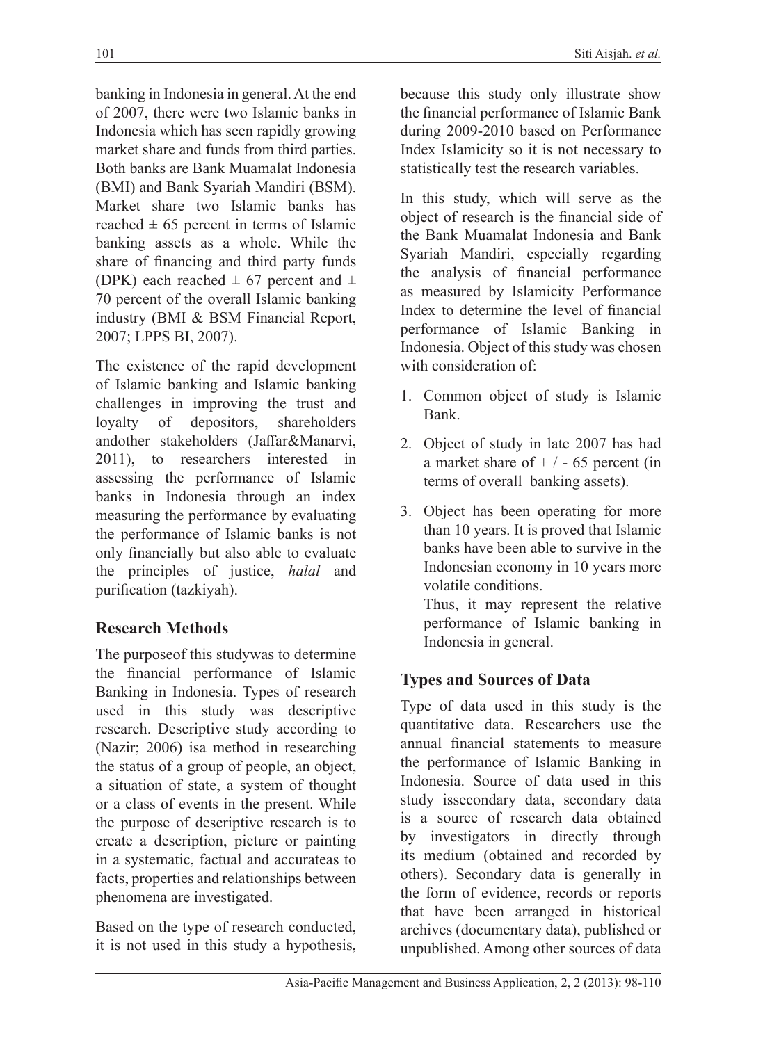banking in Indonesia in general. At the end of 2007, there were two Islamic banks in Indonesia which has seen rapidly growing market share and funds from third parties. Both banks are Bank Muamalat Indonesia (BMI) and Bank Syariah Mandiri (BSM). Market share two Islamic banks has reached  $\pm 65$  percent in terms of Islamic banking assets as a whole. While the share of financing and third party funds (DPK) each reached  $\pm$  67 percent and  $\pm$ 70 percent of the overall Islamic banking industry (BMI & BSM Financial Report, 2007; LPPS BI, 2007).

The existence of the rapid development of Islamic banking and Islamic banking challenges in improving the trust and loyalty of depositors, shareholders andother stakeholders (Jaffar&Manarvi, 2011), to researchers interested in assessing the performance of Islamic banks in Indonesia through an index measuring the performance by evaluating the performance of Islamic banks is not only financially but also able to evaluate the principles of justice, *halal* and purification (tazkiyah).

# **Research Methods**

The purposeof this studywas to determine the financial performance of Islamic Banking in Indonesia. Types of research used in this study was descriptive research. Descriptive study according to (Nazir; 2006) isa method in researching the status of a group of people, an object, a situation of state, a system of thought or a class of events in the present. While the purpose of descriptive research is to create a description, picture or painting in a systematic, factual and accurateas to facts, properties and relationships between phenomena are investigated.

Based on the type of research conducted, it is not used in this study a hypothesis, because this study only illustrate show the financial performance of Islamic Bank during 2009-2010 based on Performance Index Islamicity so it is not necessary to statistically test the research variables.

In this study, which will serve as the object of research is the financial side of the Bank Muamalat Indonesia and Bank Syariah Mandiri, especially regarding the analysis of financial performance as measured by Islamicity Performance Index to determine the level of financial performance of Islamic Banking in Indonesia. Object of this study was chosen with consideration of:

- 1. Common object of study is Islamic Bank.
- 2. Object of study in late 2007 has had a market share of  $+ / - 65$  percent (in terms of overall banking assets).
- 3. Object has been operating for more than 10 years. It is proved that Islamic banks have been able to survive in the Indonesian economy in 10 years more volatile conditions.

Thus, it may represent the relative performance of Islamic banking in Indonesia in general.

# **Types and Sources of Data**

Type of data used in this study is the quantitative data. Researchers use the annual financial statements to measure the performance of Islamic Banking in Indonesia. Source of data used in this study issecondary data, secondary data is a source of research data obtained by investigators in directly through its medium (obtained and recorded by others). Secondary data is generally in the form of evidence, records or reports that have been arranged in historical archives (documentary data), published or unpublished. Among other sources of data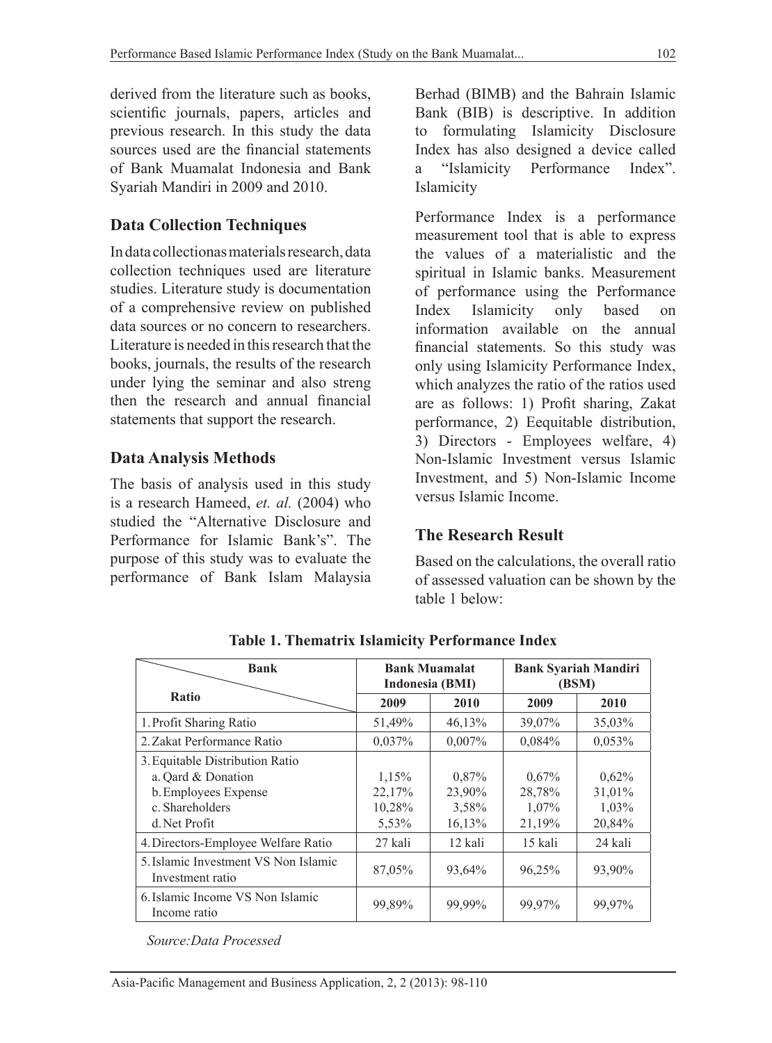derived from the literature such as books, scientific journals, papers, articles and previous research. In this study the data sources used are the financial statements of Bank Muamalat Indonesia and Bank Syariah Mandiri in 2009 and 2010.

# **Data Collection Techniques**

In data collectionas materials research, data collection techniques used are literature studies. Literature study is documentation of a comprehensive review on published data sources or no concern to researchers. Literature is needed in this research that the books, journals, the results of the research under lying the seminar and also streng then the research and annual financial statements that support the research.

### **Data Analysis Methods**

The basis of analysis used in this study is a research Hameed, *et. al.* (2004) who studied the "Alternative Disclosure and Performance for Islamic Bank's". The purpose of this study was to evaluate the performance of Bank Islam Malaysia Berhad (BIMB) and the Bahrain Islamic Bank (BIB) is descriptive. In addition to formulating Islamicity Disclosure Index has also designed a device called a "Islamicity Performance Index". Islamicity

Performance Index is a performance measurement tool that is able to express the values of a materialistic and the spiritual in Islamic banks. Measurement of performance using the Performance Index Islamicity only based on information available on the annual financial statements. So this study was only using Islamicity Performance Index, which analyzes the ratio of the ratios used are as follows: 1) Profit sharing, Zakat performance, 2) Eequitable distribution, 3) Directors - Employees welfare, 4) Non-Islamic Investment versus Islamic Investment, and 5) Non-Islamic Income versus Islamic Income.

### **The Research Result**

Based on the calculations, the overall ratio of assessed valuation can be shown by the table 1 below:

| <b>Bank</b>                                                                                                       | <b>Bank Muamalat</b><br>Indonesia (BMI) |                                    | <b>Bank Syariah Mandiri</b><br>(BSM)  |                                    |
|-------------------------------------------------------------------------------------------------------------------|-----------------------------------------|------------------------------------|---------------------------------------|------------------------------------|
| <b>Ratio</b>                                                                                                      | 2009                                    | 2010                               | 2009                                  | 2010                               |
| 1. Profit Sharing Ratio                                                                                           | 51,49%                                  | 46,13%                             | 39,07%                                | 35,03%                             |
| 2. Zakat Performance Ratio                                                                                        | 0,037%                                  | $0,007\%$                          | 0,084%                                | $0,053\%$                          |
| 3. Equitable Distribution Ratio<br>a. Qard & Donation<br>b. Employees Expense<br>c. Shareholders<br>d. Net Profit | 1,15%<br>22,17%<br>10,28%<br>5,53%      | 0,87%<br>23,90%<br>3,58%<br>16,13% | $0.67\%$<br>28,78%<br>1,07%<br>21,19% | 0,62%<br>31,01%<br>1,03%<br>20,84% |
| 4. Directors-Employee Welfare Ratio                                                                               | 27 kali                                 | 12 kali                            | 15 kali                               | 24 kali                            |
| 5. Islamic Investment VS Non Islamic<br>Investment ratio                                                          | 87,05%                                  | 93,64%                             | 96,25%                                | 93,90%                             |
| 6. Islamic Income VS Non Islamic<br>Income ratio                                                                  | 99,89%                                  | 99,99%                             | 99,97%                                | 99,97%                             |

**Table 1. Thematrix Islamicity Performance Index**

*Source:Data Processed*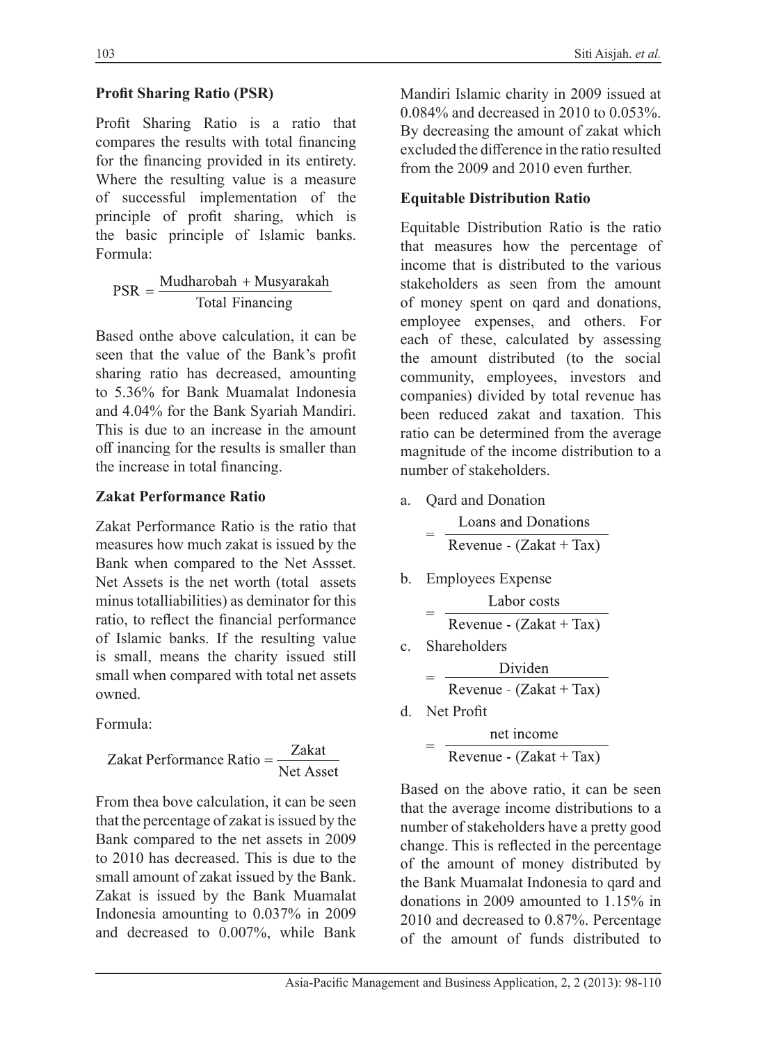### **Profit Sharing Ratio (PSR)**

Profit Sharing Ratio is a ratio that compares the results with total financing for the financing provided in its entirety. Where the resulting value is a measure of successful implementation of the principle of profit sharing, which is the basic principle of Islamic banks. Formula:

 $PSR = \frac{Mudharobah + Musyarakah}{Total Financialing}$ 

Based onthe above calculation, it can be seen that the value of the Bank's profit sharing ratio has decreased, amounting to 5.36% for Bank Muamalat Indonesia and 4.04% for the Bank Syariah Mandiri. This is due to an increase in the amount off inancing for the results is smaller than the increase in total financing.

### **Zakat Performance Ratio**

Zakat Performance Ratio is the ratio that measures how much zakat is issued by the Bank when compared to the Net Assset. Net Assets is the net worth (total assets minus totalliabilities) as deminator for this ratio, to reflect the financial performance of Islamic banks. If the resulting value is small, means the charity issued still small when compared with total net assets owned.

Formula:

$$
Zakat Performance Ratio = \frac{Zakat}{Net Asset}
$$

From thea bove calculation, it can be seen that the percentage of zakat is issued by the Bank compared to the net assets in 2009 to 2010 has decreased. This is due to the small amount of zakat issued by the Bank. Zakat is issued by the Bank Muamalat Indonesia amounting to 0.037% in 2009 and decreased to 0.007%, while Bank Mandiri Islamic charity in 2009 issued at 0.084% and decreased in 2010 to 0.053%. By decreasing the amount of zakat which excluded the difference in the ratio resulted from the 2009 and 2010 even further.

# **Equitable Distribution Ratio**

Equitable Distribution Ratio is the ratio that measures how the percentage of income that is distributed to the various stakeholders as seen from the amount of money spent on qard and donations, employee expenses, and others. For each of these, calculated by assessing the amount distributed (to the social community, employees, investors and companies) divided by total revenue has been reduced zakat and taxation. This ratio can be determined from the average magnitude of the income distribution to a number of stakeholders.

a. Qard and Donation

| = | Loans and Donations       |  |  |
|---|---------------------------|--|--|
|   | Revenue - $(Zakat + Tax)$ |  |  |

b. Employees Expense

$$
= \frac{\text{Labor costs}}{\text{Revenue} - (\text{Zakat} + \text{Tax})}
$$

c. Shareholders

$$
= \frac{\text{Dividen}}{\text{Revenue} - (\text{Zakat} + \text{Tax})}
$$

d. Net Profit

net income Revenue -  $(Zakat + Tax)$ 

Based on the above ratio, it can be seen that the average income distributions to a number of stakeholders have a pretty good change. This is reflected in the percentage of the amount of money distributed by the Bank Muamalat Indonesia to qard and donations in 2009 amounted to 1.15% in 2010 and decreased to 0.87%. Percentage of the amount of funds distributed to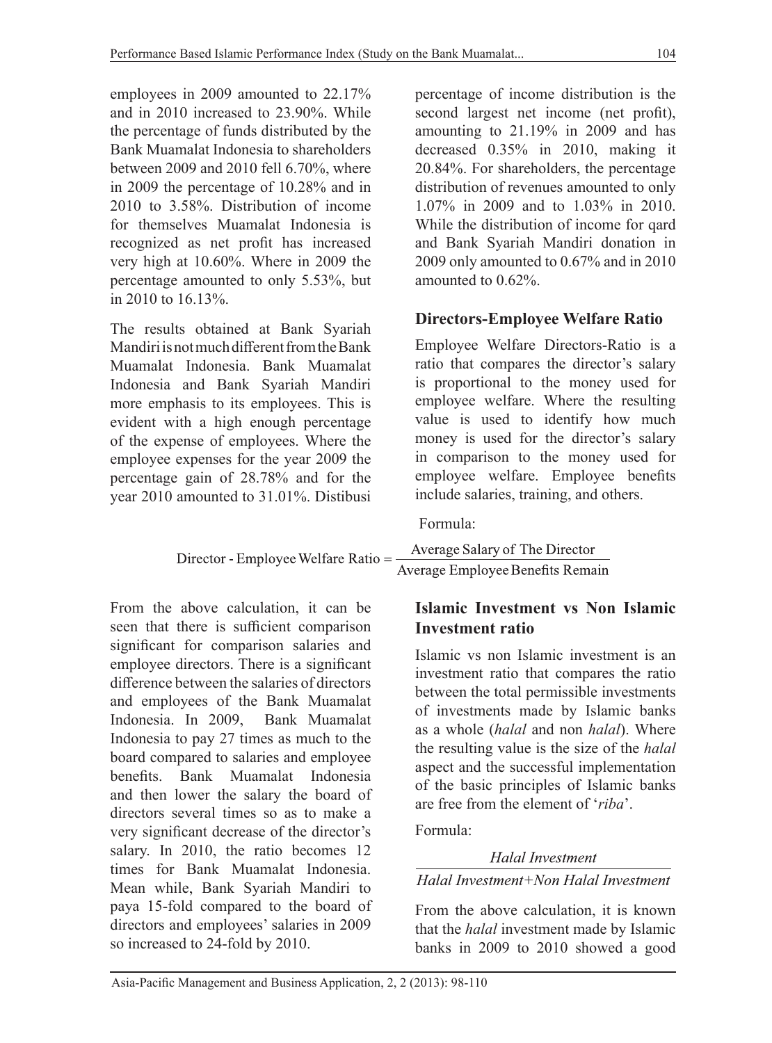employees in 2009 amounted to 22.17% and in 2010 increased to 23.90%. While the percentage of funds distributed by the Bank Muamalat Indonesia to shareholders between 2009 and 2010 fell 6.70%, where in 2009 the percentage of 10.28% and in 2010 to 3.58%. Distribution of income for themselves Muamalat Indonesia is recognized as net profit has increased very high at 10.60%. Where in 2009 the percentage amounted to only 5.53%, but in 2010 to 16.13%.

The results obtained at Bank Syariah Mandiri is not much different from the Bank Muamalat Indonesia. Bank Muamalat Indonesia and Bank Syariah Mandiri more emphasis to its employees. This is evident with a high enough percentage of the expense of employees. Where the employee expenses for the year 2009 the percentage gain of 28.78% and for the year 2010 amounted to 31.01%. Distibusi percentage of income distribution is the second largest net income (net profit), amounting to 21.19% in 2009 and has decreased 0.35% in 2010, making it 20.84%. For shareholders, the percentage distribution of revenues amounted to only 1.07% in 2009 and to 1.03% in 2010. While the distribution of income for qard and Bank Syariah Mandiri donation in 2009 only amounted to 0.67% and in 2010 amounted to 0.62%.

# **Directors-Employee Welfare Ratio**

Employee Welfare Directors-Ratio is a ratio that compares the director's salary is proportional to the money used for employee welfare. Where the resulting value is used to identify how much money is used for the director's salary in comparison to the money used for employee welfare. Employee benefits include salaries, training, and others.

Formula:

| Director - Employee Welfare Ratio = - | Average Salary of The Director   |  |
|---------------------------------------|----------------------------------|--|
|                                       | Average Employee Benefits Remain |  |

From the above calculation, it can be seen that there is sufficient comparison significant for comparison salaries and employee directors. There is a significant difference between the salaries of directors and employees of the Bank Muamalat Indonesia. In 2009, Bank Muamalat Indonesia to pay 27 times as much to the board compared to salaries and employee benefits. Bank Muamalat Indonesia and then lower the salary the board of directors several times so as to make a very significant decrease of the director's salary. In 2010, the ratio becomes 12 times for Bank Muamalat Indonesia. Mean while, Bank Syariah Mandiri to paya 15-fold compared to the board of directors and employees' salaries in 2009 so increased to 24-fold by 2010.

# **Islamic Investment vs Non Islamic Investment ratio**

Islamic vs non Islamic investment is an investment ratio that compares the ratio between the total permissible investments of investments made by Islamic banks as a whole (*halal* and non *halal*). Where the resulting value is the size of the *halal*  aspect and the successful implementation of the basic principles of Islamic banks are free from the element of '*riba*'.

# Formula:

### **Halal Investment**

### Halal Investment+Non Halal Investment

From the above calculation, it is known that the *halal* investment made by Islamic banks in 2009 to 2010 showed a good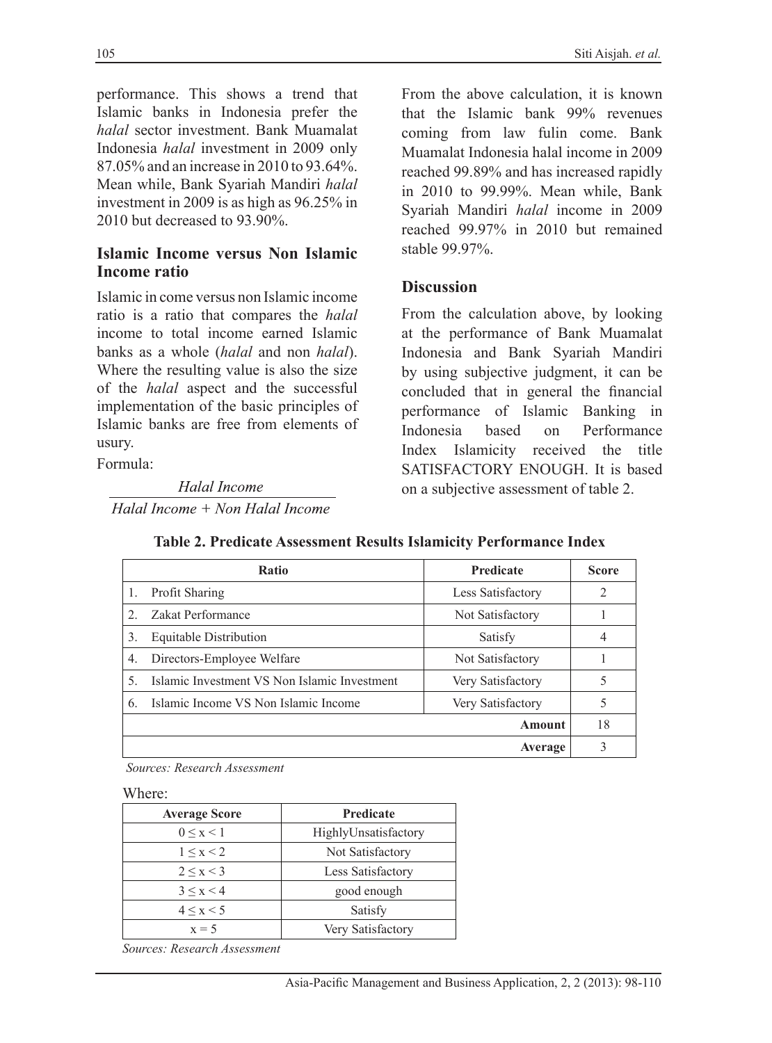performance. This shows a trend that Islamic banks in Indonesia prefer the *halal* sector investment. Bank Muamalat Indonesia *halal* investment in 2009 only 87.05% and an increase in 2010 to 93.64%. Mean while, Bank Syariah Mandiri *halal*  investment in 2009 is as high as 96.25% in 2010 but decreased to 93.90%.

### **Islamic Income versus Non Islamic Income ratio**

Islamic in come versus non Islamic income ratio is a ratio that compares the *halal*  income to total income earned Islamic banks as a whole (*halal* and non *halal*). Where the resulting value is also the size of the *halal* aspect and the successful implementation of the basic principles of Islamic banks are free from elements of usury.

Formula:

Halal Income Halal Income + Non Halal Income From the above calculation, it is known that the Islamic bank 99% revenues coming from law fulin come. Bank Muamalat Indonesia halal income in 2009 reached 99.89% and has increased rapidly in 2010 to 99.99%. Mean while, Bank Syariah Mandiri *halal* income in 2009 reached 99.97% in 2010 but remained stable 99.97%.

### **Discussion**

From the calculation above, by looking at the performance of Bank Muamalat Indonesia and Bank Syariah Mandiri by using subjective judgment, it can be concluded that in general the financial performance of Islamic Banking in Indonesia based on Performance Index Islamicity received the title SATISFACTORY ENOUGH. It is based on a subjective assessment of table 2.

|               | <b>Ratio</b>                                 | <b>Predicate</b>  | <b>Score</b> |
|---------------|----------------------------------------------|-------------------|--------------|
| 1.            | Profit Sharing                               | Less Satisfactory | 2            |
| $\mathcal{D}$ | Zakat Performance                            | Not Satisfactory  |              |
| 3.            | <b>Equitable Distribution</b>                | Satisfy           |              |
| 4.            | Directors-Employee Welfare                   | Not Satisfactory  |              |
| 5.            | Islamic Investment VS Non Islamic Investment | Very Satisfactory |              |
| 6.            | Islamic Income VS Non Islamic Income         | Very Satisfactory |              |
|               |                                              | Amount            | 18           |
|               |                                              | Average           |              |

**Table 2. Predicate Assessment Results Islamicity Performance Index**

*Sources: Research Assessment*

Where:

| <b>Average Score</b> | Predicate            |  |
|----------------------|----------------------|--|
| $0 \leq x \leq 1$    | HighlyUnsatisfactory |  |
| 1 < x < 2            | Not Satisfactory     |  |
| 2 < x < 3            | Less Satisfactory    |  |
| 3 < x < 4            | good enough          |  |
| 4 < x < 5            | Satisfy              |  |
| $x = 5$              | Very Satisfactory    |  |

*Sources: Research Assessment*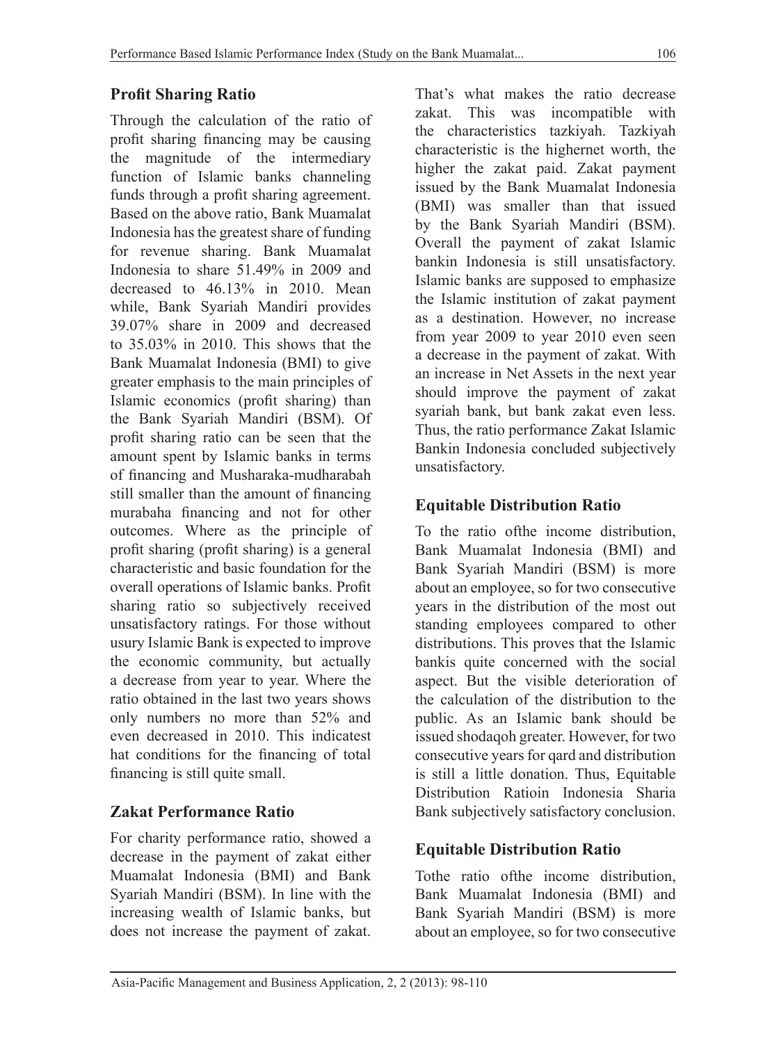# **Profit Sharing Ratio**

Through the calculation of the ratio of profit sharing financing may be causing the magnitude of the intermediary function of Islamic banks channeling funds through a profit sharing agreement. Based on the above ratio, Bank Muamalat Indonesia has the greatest share of funding for revenue sharing. Bank Muamalat Indonesia to share 51.49% in 2009 and decreased to 46.13% in 2010. Mean while, Bank Syariah Mandiri provides 39.07% share in 2009 and decreased to 35.03% in 2010. This shows that the Bank Muamalat Indonesia (BMI) to give greater emphasis to the main principles of Islamic economics (profit sharing) than the Bank Syariah Mandiri (BSM). Of profit sharing ratio can be seen that the amount spent by Islamic banks in terms of financing and Musharaka-mudharabah still smaller than the amount of financing murabaha financing and not for other outcomes. Where as the principle of profit sharing (profit sharing) is a general characteristic and basic foundation for the overall operations of Islamic banks. Profit sharing ratio so subjectively received unsatisfactory ratings. For those without usury Islamic Bank is expected to improve the economic community, but actually a decrease from year to year. Where the ratio obtained in the last two years shows only numbers no more than 52% and even decreased in 2010. This indicatest hat conditions for the financing of total financing is still quite small.

# **Zakat Performance Ratio**

For charity performance ratio, showed a decrease in the payment of zakat either Muamalat Indonesia (BMI) and Bank Syariah Mandiri (BSM). In line with the increasing wealth of Islamic banks, but does not increase the payment of zakat. That's what makes the ratio decrease zakat. This was incompatible with the characteristics tazkiyah. Tazkiyah characteristic is the highernet worth, the higher the zakat paid. Zakat payment issued by the Bank Muamalat Indonesia (BMI) was smaller than that issued by the Bank Syariah Mandiri (BSM). Overall the payment of zakat Islamic bankin Indonesia is still unsatisfactory. Islamic banks are supposed to emphasize the Islamic institution of zakat payment as a destination. However, no increase from year 2009 to year 2010 even seen a decrease in the payment of zakat. With an increase in Net Assets in the next year should improve the payment of zakat syariah bank, but bank zakat even less. Thus, the ratio performance Zakat Islamic Bankin Indonesia concluded subjectively unsatisfactory.

# **Equitable Distribution Ratio**

To the ratio ofthe income distribution, Bank Muamalat Indonesia (BMI) and Bank Syariah Mandiri (BSM) is more about an employee, so for two consecutive years in the distribution of the most out standing employees compared to other distributions. This proves that the Islamic bankis quite concerned with the social aspect. But the visible deterioration of the calculation of the distribution to the public. As an Islamic bank should be issued shodaqoh greater. However, for two consecutive years for qard and distribution is still a little donation. Thus, Equitable Distribution Ratioin Indonesia Sharia Bank subjectively satisfactory conclusion.

# **Equitable Distribution Ratio**

Tothe ratio ofthe income distribution, Bank Muamalat Indonesia (BMI) and Bank Syariah Mandiri (BSM) is more about an employee, so for two consecutive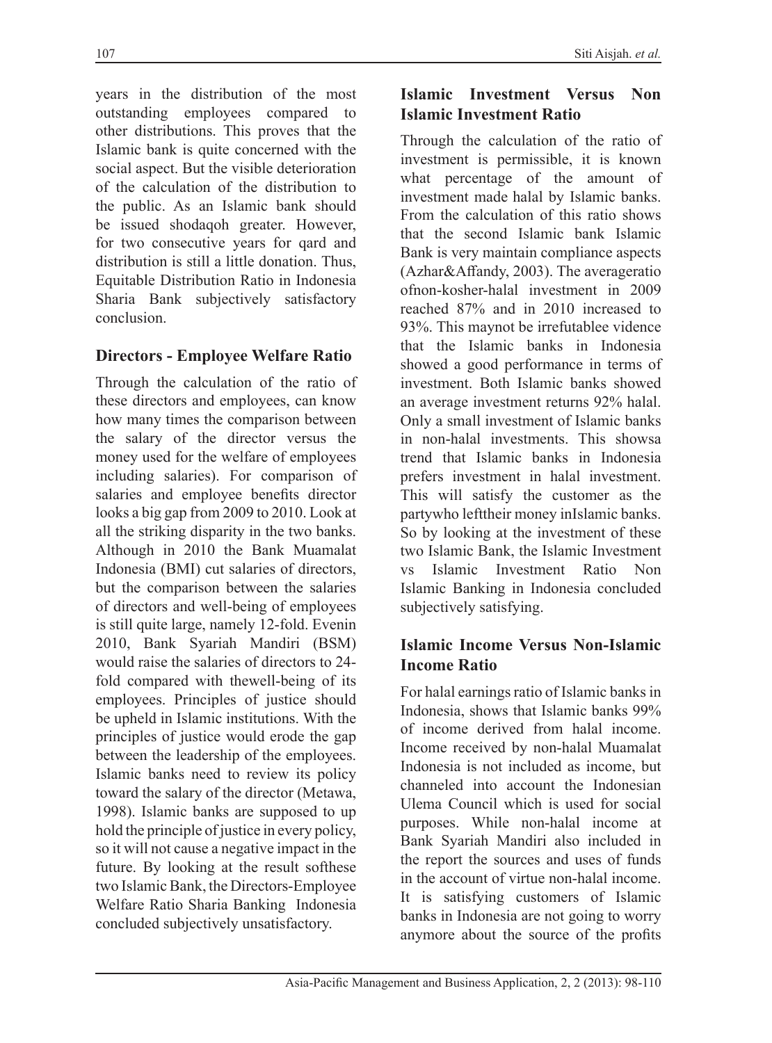years in the distribution of the most outstanding employees compared to other distributions. This proves that the Islamic bank is quite concerned with the social aspect. But the visible deterioration of the calculation of the distribution to the public. As an Islamic bank should be issued shodaqoh greater. However, for two consecutive years for qard and distribution is still a little donation. Thus, Equitable Distribution Ratio in Indonesia Sharia Bank subjectively satisfactory conclusion.

# **Directors - Employee Welfare Ratio**

Through the calculation of the ratio of these directors and employees, can know how many times the comparison between the salary of the director versus the money used for the welfare of employees including salaries). For comparison of salaries and employee benefits director looks a big gap from 2009 to 2010. Look at all the striking disparity in the two banks. Although in 2010 the Bank Muamalat Indonesia (BMI) cut salaries of directors, but the comparison between the salaries of directors and well-being of employees is still quite large, namely 12-fold. Evenin 2010, Bank Syariah Mandiri (BSM) would raise the salaries of directors to 24 fold compared with thewell-being of its employees. Principles of justice should be upheld in Islamic institutions. With the principles of justice would erode the gap between the leadership of the employees. Islamic banks need to review its policy toward the salary of the director (Metawa, 1998). Islamic banks are supposed to up hold the principle of justice in every policy, so it will not cause a negative impact in the future. By looking at the result softhese two Islamic Bank, the Directors-Employee Welfare Ratio Sharia Banking Indonesia concluded subjectively unsatisfactory.

### **Islamic Investment Versus Non Islamic Investment Ratio**

Through the calculation of the ratio of investment is permissible, it is known what percentage of the amount of investment made halal by Islamic banks. From the calculation of this ratio shows that the second Islamic bank Islamic Bank is very maintain compliance aspects (Azhar&Affandy, 2003). The averageratio ofnon-kosher-halal investment in 2009 reached 87% and in 2010 increased to 93%. This maynot be irrefutablee vidence that the Islamic banks in Indonesia showed a good performance in terms of investment. Both Islamic banks showed an average investment returns 92% halal. Only a small investment of Islamic banks in non-halal investments. This showsa trend that Islamic banks in Indonesia prefers investment in halal investment. This will satisfy the customer as the partywho lefttheir money inIslamic banks. So by looking at the investment of these two Islamic Bank, the Islamic Investment vs Islamic Investment Ratio Non Islamic Banking in Indonesia concluded subjectively satisfying.

# **Islamic Income Versus Non-Islamic Income Ratio**

For halal earnings ratio of Islamic banks in Indonesia, shows that Islamic banks 99% of income derived from halal income. Income received by non-halal Muamalat Indonesia is not included as income, but channeled into account the Indonesian Ulema Council which is used for social purposes. While non-halal income at Bank Syariah Mandiri also included in the report the sources and uses of funds in the account of virtue non-halal income. It is satisfying customers of Islamic banks in Indonesia are not going to worry anymore about the source of the profits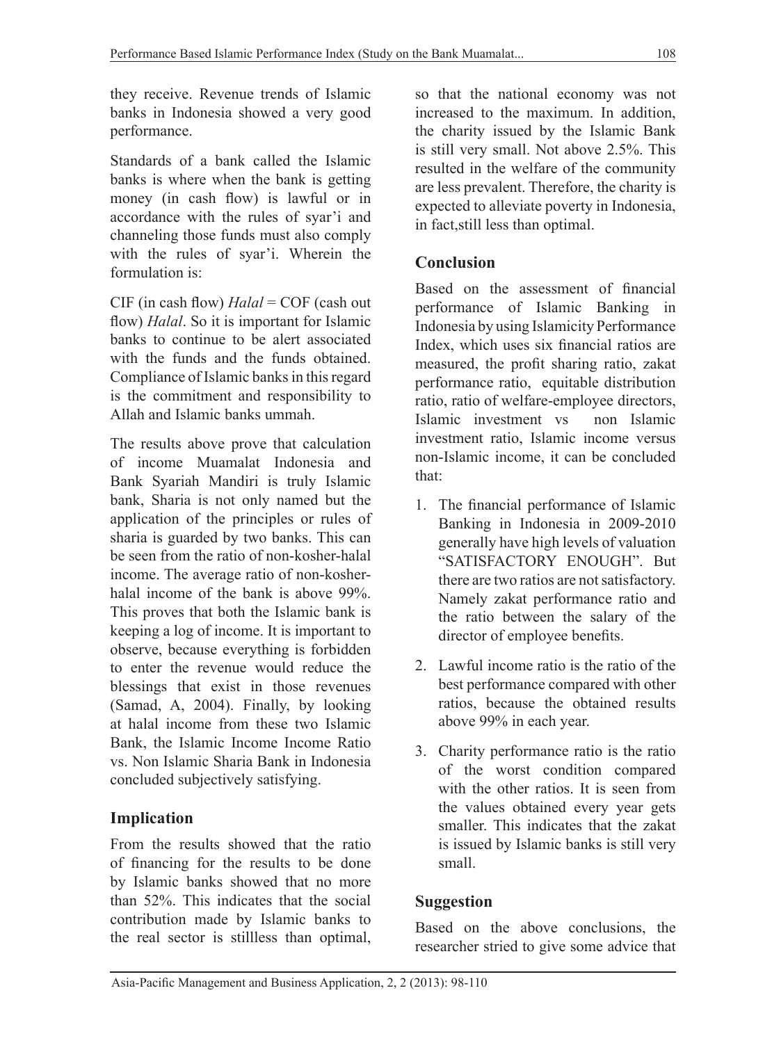they receive. Revenue trends of Islamic banks in Indonesia showed a very good performance.

Standards of a bank called the Islamic banks is where when the bank is getting money (in cash flow) is lawful or in accordance with the rules of syar'i and channeling those funds must also comply with the rules of syar'i. Wherein the formulation is:

CIF (in cash flow) *Halal* = COF (cash out flow) *Halal*. So it is important for Islamic banks to continue to be alert associated with the funds and the funds obtained. Compliance of Islamic banks in this regard is the commitment and responsibility to Allah and Islamic banks ummah.

The results above prove that calculation of income Muamalat Indonesia and Bank Syariah Mandiri is truly Islamic bank, Sharia is not only named but the application of the principles or rules of sharia is guarded by two banks. This can be seen from the ratio of non-kosher-halal income. The average ratio of non-kosherhalal income of the bank is above 99%. This proves that both the Islamic bank is keeping a log of income. It is important to observe, because everything is forbidden to enter the revenue would reduce the blessings that exist in those revenues (Samad, A, 2004). Finally, by looking at halal income from these two Islamic Bank, the Islamic Income Income Ratio vs. Non Islamic Sharia Bank in Indonesia concluded subjectively satisfying.

# **Implication**

From the results showed that the ratio of financing for the results to be done by Islamic banks showed that no more than 52%. This indicates that the social contribution made by Islamic banks to the real sector is stillless than optimal,

so that the national economy was not increased to the maximum. In addition, the charity issued by the Islamic Bank is still very small. Not above 2.5%. This resulted in the welfare of the community are less prevalent. Therefore, the charity is expected to alleviate poverty in Indonesia, in fact,still less than optimal.

# **Conclusion**

Based on the assessment of financial performance of Islamic Banking in Indonesia by using Islamicity Performance Index, which uses six financial ratios are measured, the profit sharing ratio, zakat performance ratio, equitable distribution ratio, ratio of welfare-employee directors, Islamic investment vs non Islamic investment ratio, Islamic income versus non-Islamic income, it can be concluded that:

- 1. The financial performance of Islamic Banking in Indonesia in 2009-2010 generally have high levels of valuation "SATISFACTORY ENOUGH". But there are two ratios are not satisfactory. Namely zakat performance ratio and the ratio between the salary of the director of employee benefits.
- 2. Lawful income ratio is the ratio of the best performance compared with other ratios, because the obtained results above 99% in each year.
- 3. Charity performance ratio is the ratio of the worst condition compared with the other ratios. It is seen from the values obtained every year gets smaller. This indicates that the zakat is issued by Islamic banks is still very small.

# **Suggestion**

Based on the above conclusions, the researcher stried to give some advice that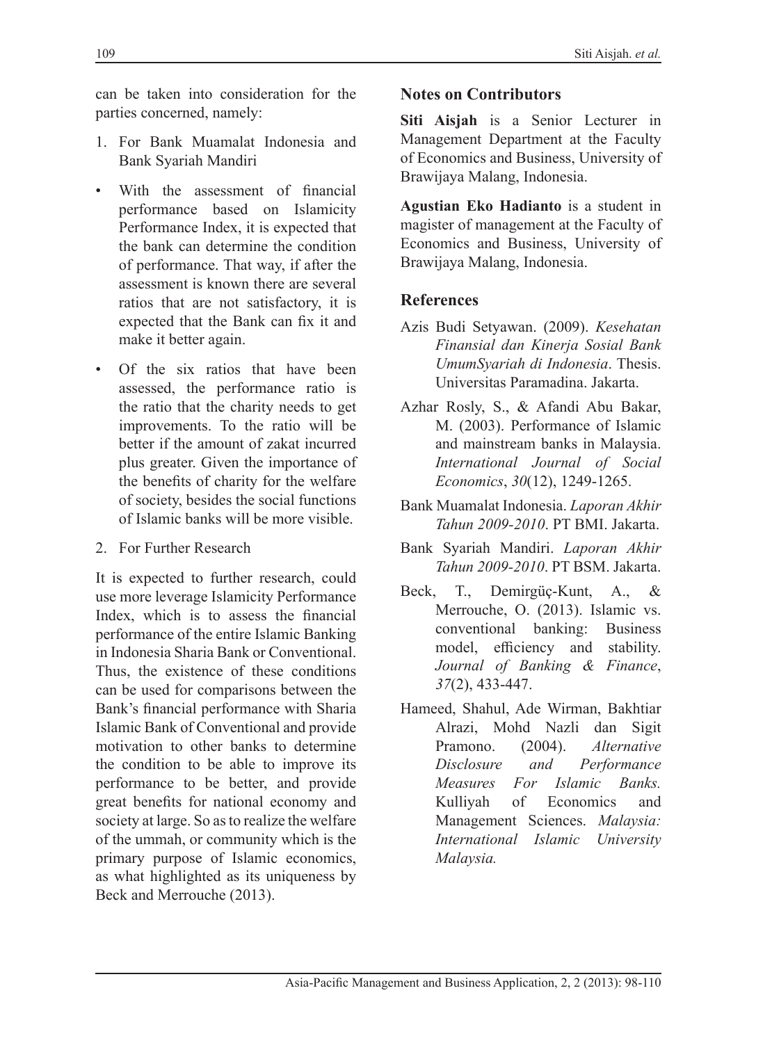can be taken into consideration for the parties concerned, namely:

- 1. For Bank Muamalat Indonesia and Bank Syariah Mandiri
- With the assessment of financial performance based on Islamicity Performance Index, it is expected that the bank can determine the condition of performance. That way, if after the assessment is known there are several ratios that are not satisfactory, it is expected that the Bank can fix it and make it better again.
- Of the six ratios that have been assessed, the performance ratio is the ratio that the charity needs to get improvements. To the ratio will be better if the amount of zakat incurred plus greater. Given the importance of the benefits of charity for the welfare of society, besides the social functions of Islamic banks will be more visible.
- 2. For Further Research

It is expected to further research, could use more leverage Islamicity Performance Index, which is to assess the financial performance of the entire Islamic Banking in Indonesia Sharia Bank or Conventional. Thus, the existence of these conditions can be used for comparisons between the Bank's financial performance with Sharia Islamic Bank of Conventional and provide motivation to other banks to determine the condition to be able to improve its performance to be better, and provide great benefits for national economy and society at large. So as to realize the welfare of the ummah, or community which is the primary purpose of Islamic economics, as what highlighted as its uniqueness by Beck and Merrouche (2013).

### **Notes on Contributors**

**Siti Aisjah** is a Senior Lecturer in Management Department at the Faculty of Economics and Business, University of Brawijaya Malang, Indonesia.

**Agustian Eko Hadianto** is a student in magister of management at the Faculty of Economics and Business, University of Brawijaya Malang, Indonesia.

### **References**

- Azis Budi Setyawan. (2009). *Kesehatan Finansial dan Kinerja Sosial Bank UmumSyariah di Indonesia*. Thesis. Universitas Paramadina. Jakarta.
- Azhar Rosly, S., & Afandi Abu Bakar, M. (2003). Performance of Islamic and mainstream banks in Malaysia. *International Journal of Social Economics*, *30*(12), 1249-1265.
- Bank Muamalat Indonesia. *Laporan Akhir Tahun 2009-2010*. PT BMI. Jakarta.
- Bank Syariah Mandiri. *Laporan Akhir Tahun 2009-2010*. PT BSM. Jakarta.
- Beck, T., Demirgüç-Kunt, A., & Merrouche, O. (2013). Islamic vs. conventional banking: Business model, efficiency and stability. *Journal of Banking & Finance*, *37*(2), 433-447.
- Hameed, Shahul, Ade Wirman, Bakhtiar Alrazi, Mohd Nazli dan Sigit Pramono. (2004). *Alternative Disclosure and Performance Measures For Islamic Banks.* Kulliyah of Economics and Management Sciences. *Malaysia: International Islamic University Malaysia.*